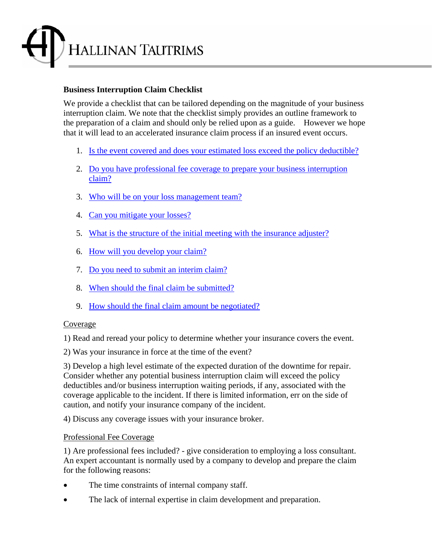

## **Business Interruption Claim Checklist**

We provide a checklist that can be tailored depending on the magnitude of your business interruption claim. We note that the checklist simply provides an outline framework to the preparation of a claim and should only be relied upon as a guide. However we hope that it will lead to an accelerated insurance claim process if an insured event occurs.

- 1. Is the event covered and does your estimated loss exceed the policy deductible?
- 2. Do you have professional fee coverage to prepare your business interruption claim?
- 3. Who will be on your loss management team?
- 4. Can you mitigate your losses?
- 5. What is the structure of the initial meeting with the insurance adjuster?
- 6. How will you develop your claim?
- 7. Do you need to submit an interim claim?
- 8. When should the final claim be submitted?
- 9. How should the final claim amount be negotiated?

### Coverage

1) Read and reread your policy to determine whether your insurance covers the event.

2) Was your insurance in force at the time of the event?

3) Develop a high level estimate of the expected duration of the downtime for repair. Consider whether any potential business interruption claim will exceed the policy deductibles and/or business interruption waiting periods, if any, associated with the coverage applicable to the incident. If there is limited information, err on the side of caution, and notify your insurance company of the incident.

4) Discuss any coverage issues with your insurance broker.

## Professional Fee Coverage

1) Are professional fees included? - give consideration to employing a loss consultant. An expert accountant is normally used by a company to develop and prepare the claim for the following reasons:

- The time constraints of internal company staff.
- The lack of internal expertise in claim development and preparation.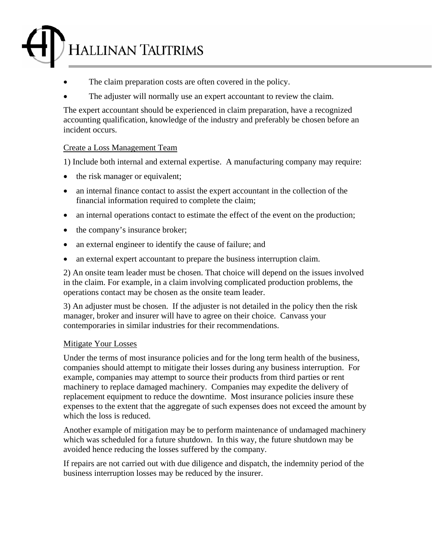## **HALLINAN TAUTRIMS**

- The claim preparation costs are often covered in the policy.
- The adjuster will normally use an expert accountant to review the claim.

The expert accountant should be experienced in claim preparation, have a recognized accounting qualification, knowledge of the industry and preferably be chosen before an incident occurs.

## Create a Loss Management Team

1) Include both internal and external expertise. A manufacturing company may require:

- the risk manager or equivalent;
- an internal finance contact to assist the expert accountant in the collection of the financial information required to complete the claim;
- an internal operations contact to estimate the effect of the event on the production;
- the company's insurance broker;
- an external engineer to identify the cause of failure; and
- an external expert accountant to prepare the business interruption claim.

2) An onsite team leader must be chosen. That choice will depend on the issues involved in the claim. For example, in a claim involving complicated production problems, the operations contact may be chosen as the onsite team leader.

3) An adjuster must be chosen. If the adjuster is not detailed in the policy then the risk manager, broker and insurer will have to agree on their choice. Canvass your contemporaries in similar industries for their recommendations.

## Mitigate Your Losses

Under the terms of most insurance policies and for the long term health of the business, companies should attempt to mitigate their losses during any business interruption. For example, companies may attempt to source their products from third parties or rent machinery to replace damaged machinery. Companies may expedite the delivery of replacement equipment to reduce the downtime. Most insurance policies insure these expenses to the extent that the aggregate of such expenses does not exceed the amount by which the loss is reduced.

Another example of mitigation may be to perform maintenance of undamaged machinery which was scheduled for a future shutdown. In this way, the future shutdown may be avoided hence reducing the losses suffered by the company.

If repairs are not carried out with due diligence and dispatch, the indemnity period of the business interruption losses may be reduced by the insurer.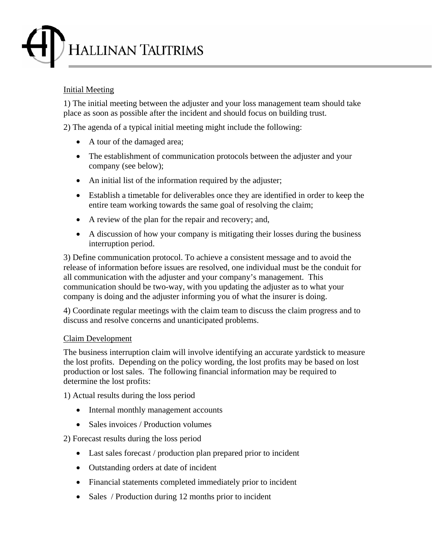# HALLINAN TAUTRIMS

## Initial Meeting

1) The initial meeting between the adjuster and your loss management team should take place as soon as possible after the incident and should focus on building trust.

2) The agenda of a typical initial meeting might include the following:

- A tour of the damaged area;
- The establishment of communication protocols between the adjuster and your company (see below);
- An initial list of the information required by the adjuster;
- Establish a timetable for deliverables once they are identified in order to keep the entire team working towards the same goal of resolving the claim;
- A review of the plan for the repair and recovery; and,
- A discussion of how your company is mitigating their losses during the business interruption period.

3) Define communication protocol. To achieve a consistent message and to avoid the release of information before issues are resolved, one individual must be the conduit for all communication with the adjuster and your company's management. This communication should be two-way, with you updating the adjuster as to what your company is doing and the adjuster informing you of what the insurer is doing.

4) Coordinate regular meetings with the claim team to discuss the claim progress and to discuss and resolve concerns and unanticipated problems.

## Claim Development

The business interruption claim will involve identifying an accurate yardstick to measure the lost profits. Depending on the policy wording, the lost profits may be based on lost production or lost sales. The following financial information may be required to determine the lost profits:

1) Actual results during the loss period

- Internal monthly management accounts
- Sales invoices / Production volumes

2) Forecast results during the loss period

- Last sales forecast / production plan prepared prior to incident
- Outstanding orders at date of incident
- Financial statements completed immediately prior to incident
- Sales / Production during 12 months prior to incident